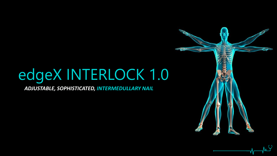# edgeX INTERLOCK 1.0

*ADJUSTABLE, SOPHISTICATED, INTERMEDULLARY NAIL* 

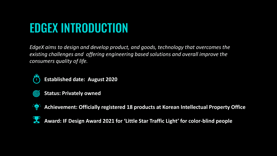## EDGEX INTRODUCTION

*EdgeX aims to design and develop product, and goods, technology that overcomes the existing challenges and offering engineering based solutions and overall improve the consumers quality of life.* 



**Established date: August 2020**



**Status: Privately owned**



**Achievement: Officially registered 18 products at Korean Intellectual Property Office**



**Award: IF Design Award 2021 for 'Little Star Traffic Light' for color-blind people**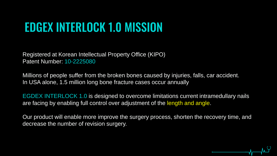## EDGEX INTERLOCK 1.0 MISSION

Registered at Korean Intellectual Property Office (KIPO) Patent Number: 10-2225080

Millions of people suffer from the broken bones caused by injuries, falls, car accident. In USA alone, 1.5 million long bone fracture cases occur annually

EGDEX INTERLOCK 1.0 is designed to overcome limitations current intramedullary nails are facing by enabling full control over adjustment of the length and angle.

Our product will enable more improve the surgery process, shorten the recovery time, and decrease the number of revision surgery.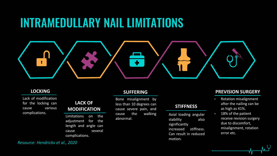### INTRAMEDULLARY NAIL LIMITATIONS



### **LOCKING**

Lack of modification for the locking can cause various complications.

### **LACK OF MODIFICATION**

Limitations on the adjustment for the length and angle can cause several complications.

### **SUFFERING**

Bone misalignment by less than 10 degrees can cause severe pain, and cause the walking abnormal.

### **STIFFNESS**

Axial loading angular stability also significantly increased stiffness. Can result in reduced motion.

### **PREVISION SURGERY**

- Rotation misalignment after the nailing can be as high as 41%.
- 18% of the patient receive revision surgery due to discomfort, misalignment, rotation error etc.

*Resource: Hendrickx et al., 2020*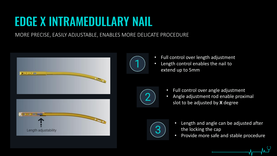## EDGE X INTRAMEDULLARY NAIL

MORE PRECISE, EASILY ADJUSTABLE, ENABLES MORE DELICATE PROCEDURE





- Full control over length adjustment
- Length control enables the nail to extend up to 5mm



- Full control over angle adjustment
- Angle adjustment rod enable proximal slot to be adjusted by **X** degree



- Length and angle can be adjusted after the locking the cap
- Provide more safe and stable procedure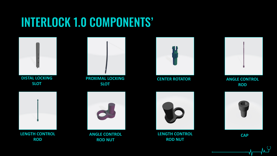## INTERLOCK 1.0 COMPONENTS'



**DISTAL LOCKING SLOT**



**PROXIMAL LOCKING SLOT**



**CENTER ROTATOR ANGLE CONTROL** 



**ROD** 



**LENGTH CONTROL ROD**



**ANGLE CONTROL ROD NUT** 



**CAP LENGTH CONTROL CAP CAP ROD NUT**



h Y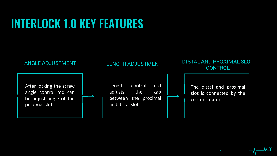## INTERLOCK 1.0 KEY FEATURES

After locking the screw angle control rod can be adjust angle of the proximal slot

### LENGTH ADJUSTMENT

Length control rod adjusts the gap between the proximal and distal slot

### ANGLE ADJUSTMENT THE REAL ENGTH ADJUSTMENT THE DISTAL AND PROXIMAL SLOT **CONTROL**

The distal and proximal slot is connected by the center rotator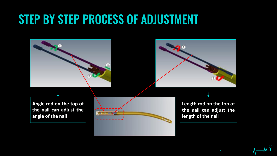## STEP BY STEP PROCESS OF ADJUSTMENT

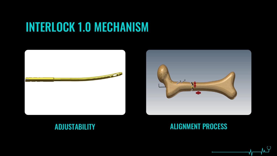## INTERLOCK 1.0 MECHANISM





### ADJUSTABILITY ALIGNMENT PROCESS

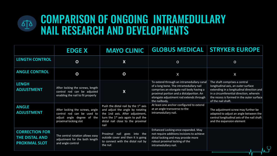### COMPARISON OF ONGOING INTRAMEDULLARY  $\Delta$ NAIL RESEARCH AND DEVELOPMENTS

|                                                                        | <b>EDGE X</b>                                                                                                        | <b>MAYO CLINIC</b>                                                                                                                                                                                            | <b>GLOBUS MEDICAL</b>                                                                                                                                                                                                                    | <b>STRYKER EUROPE</b>                                                                                                                                                                                                           |
|------------------------------------------------------------------------|----------------------------------------------------------------------------------------------------------------------|---------------------------------------------------------------------------------------------------------------------------------------------------------------------------------------------------------------|------------------------------------------------------------------------------------------------------------------------------------------------------------------------------------------------------------------------------------------|---------------------------------------------------------------------------------------------------------------------------------------------------------------------------------------------------------------------------------|
| <b>LENGTH CONTROL</b>                                                  | $\overline{O}$                                                                                                       | $\overline{\mathsf{X}}$                                                                                                                                                                                       | $\overline{O}$                                                                                                                                                                                                                           | $\overline{O}$                                                                                                                                                                                                                  |
| <b>ANGLE CONTROL</b>                                                   | $\mathbf O$                                                                                                          | $\mathbf O$                                                                                                                                                                                                   | X                                                                                                                                                                                                                                        | X                                                                                                                                                                                                                               |
| <b>LENGH</b><br><b>ADJUSTMENT</b>                                      | After locking the screws, length<br>control rod can be adjusted<br>enabling the nail to fit properly                 | X                                                                                                                                                                                                             | To extend through an intramedullary canal<br>of a long bone. The intramedullary nail<br>comprises an elongate nail body having a<br>proximal portion and a distalportion. An<br>elongate adjustment rod extends through<br>the nailbody. | The shaft comprises a central<br>longitudinal axis, an outer surface<br>extending in a longitudinal direction and<br>in a circumferential direction, wherein<br>the recess is formed in the outer surface<br>of the nail shaft. |
| <b>ANGLE</b><br><b>ADJUSTMENT</b>                                      | After locking the screws, angle<br>control rod can be used to<br>adjust angle degree of the<br>proximal locking slot | Push the distal nail by the 1 <sup>st</sup> axis<br>and adjust the angle by rotating<br>the 1nd axis. After adjustment,<br>turn the $1st$ axis again to pull the<br>distal nail close to the proximal<br>nail | At least one anchor configured to extend<br>at an angle transverso to the<br>intramedullary nail.                                                                                                                                        | The adjustment screw may further be<br>adapted to adjust an angle between the<br>central longitudinal axis of the nail shaft<br>and the expansion element                                                                       |
| <b>CORRECTION FOR</b><br><b>THE DISTAL AND</b><br><b>PROXIMAL SLOT</b> | The central rotation allows easy<br>adjustment for the both length<br>and angle control                              | Proximal nail goes into the<br>outside cover and then it is going<br>to connect with the distal nail by<br>the nut                                                                                            | Enhanced Locking once expanded. May<br>not require additions incisions to achieve<br>distal locking and may provide more<br>robust proximal locking of the<br>intramedullary nail.                                                       |                                                                                                                                                                                                                                 |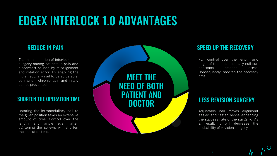## EDGEX INTERLOCK 1.0 ADVANTAGES

The main limitation of interlock nails surgery among patients is pain and discomfort caused by misalignment and rotation error. By enabling the intramedullary nail to be adjustable, permanent chronic pain and injury can be prevented.

Rotating the intramedullary nail to the given position takes an extensive amount of time. Control over the length and angle even after tightening the screws will shorten the operation time.



Full control over the length and angle of the intramedullary nail can decrease rotation error. Consequently, shorten the recovery time. .

Adjustable nail moves alignment easier and faster hence enhancing the success rate of the surgery. As a result, it will decrease the probability of revision surgery.